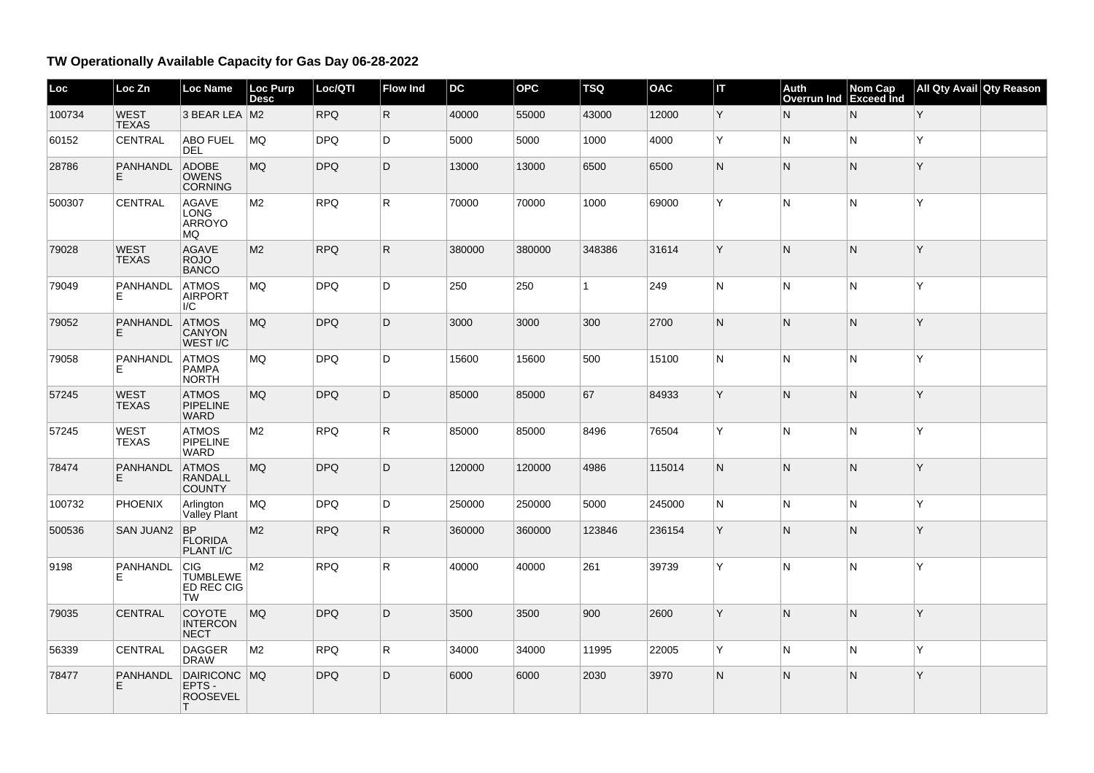## **TW Operationally Available Capacity for Gas Day 06-28-2022**

| Loc    | Loc Zn                      | <b>Loc Name</b>                                                 | <b>Loc Purp</b><br><b>Desc</b> | Loc/QTI    | <b>Flow Ind</b> | DC     | <b>OPC</b> | <b>TSQ</b>   | <b>OAC</b> | İΠ | Auth<br>Overrun Ind Exceed Ind | Nom Cap | All Qty Avail Qty Reason |  |
|--------|-----------------------------|-----------------------------------------------------------------|--------------------------------|------------|-----------------|--------|------------|--------------|------------|----|--------------------------------|---------|--------------------------|--|
| 100734 | <b>WEST</b><br><b>TEXAS</b> | 3 BEAR LEA M2                                                   |                                | <b>RPQ</b> | $\mathsf{R}$    | 40000  | 55000      | 43000        | 12000      | Y  | N                              | N       | Y                        |  |
| 60152  | <b>CENTRAL</b>              | <b>ABO FUEL</b><br><b>DEL</b>                                   | MQ                             | <b>DPQ</b> | D.              | 5000   | 5000       | 1000         | 4000       | Y  | N                              | lN.     | ΙY.                      |  |
| 28786  | PANHANDL<br>E.              | ADOBE<br><b>OWENS</b><br>CORNING                                | <b>MQ</b>                      | <b>DPQ</b> | D               | 13000  | 13000      | 6500         | 6500       | N  | N                              | IN.     | ΙY.                      |  |
| 500307 | CENTRAL                     | <b>AGAVE</b><br>LONG<br>ARROYO<br><b>MQ</b>                     | M2                             | <b>RPQ</b> | $\mathsf{R}$    | 70000  | 70000      | 1000         | 69000      | Y  | N                              | lN.     | Y                        |  |
| 79028  | <b>WEST</b><br><b>TEXAS</b> | <b>AGAVE</b><br><b>ROJO</b><br><b>BANCO</b>                     | M <sub>2</sub>                 | <b>RPQ</b> | $\mathsf{R}$    | 380000 | 380000     | 348386       | 31614      | Y  | $\overline{\mathsf{N}}$        | IN.     | ΙY                       |  |
| 79049  | PANHANDL<br>F               | <b>ATMOS</b><br><b>AIRPORT</b><br>I/C                           | MQ                             | <b>DPQ</b> | D               | 250    | 250        | $\mathbf{1}$ | 249        | N  | N                              | N       | ΙY                       |  |
| 79052  | PANHANDL<br>E.              | <b>ATMOS</b><br>CANYON<br>WEST <sub>I/C</sub>                   | MQ                             | <b>DPQ</b> | D               | 3000   | 3000       | 300          | 2700       | N  | $\overline{\mathsf{N}}$        | IN.     | ΙY.                      |  |
| 79058  | PANHANDL<br>F.              | <b>ATMOS</b><br>PAMPA<br><b>NORTH</b>                           | <b>MQ</b>                      | <b>DPQ</b> | D               | 15600  | 15600      | 500          | 15100      | N  | $\overline{\mathsf{N}}$        | N       | İΥ                       |  |
| 57245  | <b>WEST</b><br><b>TEXAS</b> | <b>ATMOS</b><br>PIPELINE<br><b>WARD</b>                         | <b>MQ</b>                      | <b>DPQ</b> | D               | 85000  | 85000      | 67           | 84933      | Y  | $\overline{\mathsf{N}}$        | N       | ΙY.                      |  |
| 57245  | <b>WEST</b><br><b>TEXAS</b> | <b>ATMOS</b><br><b>PIPELINE</b><br><b>WARD</b>                  | M <sub>2</sub>                 | <b>RPQ</b> | R.              | 85000  | 85000      | 8496         | 76504      | Y  | N                              | IN.     | ΙY.                      |  |
| 78474  | PANHANDL<br>E.              | <b>ATMOS</b><br><b>RANDALL</b><br><b>COUNTY</b>                 | <b>MQ</b>                      | <b>DPQ</b> | D               | 120000 | 120000     | 4986         | 115014     | N. | N                              | IN.     | ΙY                       |  |
| 100732 | <b>PHOENIX</b>              | Arlington<br>Valley Plant                                       | MQ                             | <b>DPQ</b> | D.              | 250000 | 250000     | 5000         | 245000     | N  | N                              | IN.     | ΙY.                      |  |
| 500536 | SAN JUAN2 BP                | <b>FLORIDA</b><br>PLANT I/C                                     | M2                             | <b>RPQ</b> | $\mathsf{R}$    | 360000 | 360000     | 123846       | 236154     | Y  | N                              | IN.     | ΙY.                      |  |
| 9198   | PANHANDL<br>Е               | <b>CIG</b><br><b>TUMBLEWE</b><br><b>ED REC CIG</b><br><b>TW</b> | M <sub>2</sub>                 | <b>RPQ</b> | R.              | 40000  | 40000      | 261          | 39739      | Y  | N                              | lN.     | İΥ                       |  |
| 79035  | <b>CENTRAL</b>              | COYOTE<br><b>INTERCON</b><br><b>NECT</b>                        | MQ                             | <b>DPQ</b> | D               | 3500   | 3500       | 900          | 2600       | Y  | $\overline{\mathsf{N}}$        | IN.     | ΙY.                      |  |
| 56339  | CENTRAL                     | <b>DAGGER</b><br><b>DRAW</b>                                    | M <sub>2</sub>                 | <b>RPQ</b> | $\mathsf{R}$    | 34000  | 34000      | 11995        | 22005      | Y  | $\overline{\mathsf{N}}$        | N       | ΙY.                      |  |
| 78477  | PANHANDL<br>F               | DAIRICONC MQ<br>EPTS -<br><b>ROOSEVEL</b><br>⊤                  |                                | <b>DPQ</b> | D               | 6000   | 6000       | 2030         | 3970       | N  | $\overline{\mathsf{N}}$        | IN.     | ΙY.                      |  |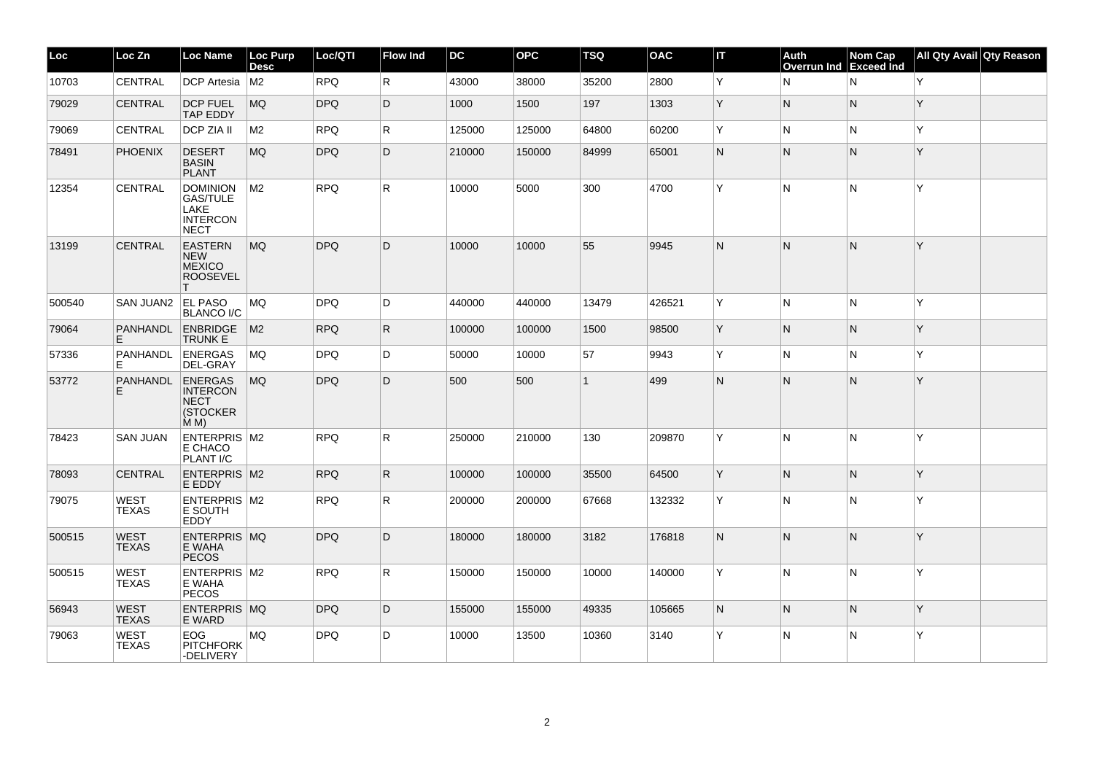| Loc    | Loc Zn                      | Loc Name                                                            | Loc Purp<br><b>Desc</b> | Loc/QTI    | <b>Flow Ind</b> | <b>DC</b> | <b>OPC</b> | <b>TSQ</b>   | <b>OAC</b> | Iт           | Auth<br><b>Overrun Ind</b> | Nom Cap<br>Exceed Ind | All Qty Avail Qty Reason |  |
|--------|-----------------------------|---------------------------------------------------------------------|-------------------------|------------|-----------------|-----------|------------|--------------|------------|--------------|----------------------------|-----------------------|--------------------------|--|
| 10703  | CENTRAL                     | <b>DCP</b> Artesia                                                  | M <sub>2</sub>          | <b>RPO</b> | $\mathsf R$     | 43000     | 38000      | 35200        | 2800       | Y            | N                          | N                     | ΙY.                      |  |
| 79029  | <b>CENTRAL</b>              | <b>DCP FUEL</b><br>TAP EDDY                                         | MQ                      | <b>DPQ</b> | D               | 1000      | 1500       | 197          | 1303       | Y            | $\mathsf{N}$               | IN.                   | ΙY.                      |  |
| 79069  | CENTRAL                     | <b>DCP ZIA II</b>                                                   | M2                      | <b>RPQ</b> | $\mathsf R$     | 125000    | 125000     | 64800        | 60200      | Y            | N                          | IN.                   | ΙY.                      |  |
| 78491  | <b>PHOENIX</b>              | <b>DESERT</b><br><b>BASIN</b><br><b>PLANT</b>                       | MQ.                     | <b>DPQ</b> | D               | 210000    | 150000     | 84999        | 65001      | $\mathsf{N}$ | $\mathsf{N}$               | IN.                   | ΙY.                      |  |
| 12354  | CENTRAL                     | <b>DOMINION</b><br>GAS/TULE<br>LAKE<br><b>INTERCON</b><br>NECT      | M <sub>2</sub>          | <b>RPQ</b> | R               | 10000     | 5000       | 300          | 4700       | Y            | N                          | N                     | İΥ                       |  |
| 13199  | <b>CENTRAL</b>              | <b>EASTERN</b><br><b>NEW</b><br><b>MEXICO</b><br><b>ROOSEVEL</b>    | MQ                      | <b>DPQ</b> | D               | 10000     | 10000      | 55           | 9945       | N.           | N                          | IN.                   | ΙY.                      |  |
| 500540 | SAN JUAN2                   | <b>EL PASO</b><br><b>BLANCO I/C</b>                                 | MQ                      | <b>DPQ</b> | D               | 440000    | 440000     | 13479        | 426521     | Y            | N                          | N                     | Y                        |  |
| 79064  | <b>PANHANDL</b><br>E.       | <b>ENBRIDGE</b><br>TRUNK E                                          | M2                      | <b>RPQ</b> | $\mathsf{R}$    | 100000    | 100000     | 1500         | 98500      | Y            | N                          | N                     | ΙY.                      |  |
| 57336  | <b>PANHANDL</b><br>Е        | <b>ENERGAS</b><br>DEL-GRAY                                          | MQ                      | <b>DPQ</b> | D               | 50000     | 10000      | 57           | 9943       | Y            | N                          | IN.                   | ΙY.                      |  |
| 53772  | <b>PANHANDL</b><br>E.       | <b>ENERGAS</b><br><b>INTERCON</b><br><b>NECT</b><br>(STOCKER<br>M M | MQ                      | <b>DPQ</b> | D               | 500       | 500        | $\mathbf{1}$ | 499        | N            | N                          | IN.                   | Y                        |  |
| 78423  | <b>SAN JUAN</b>             | ENTERPRIS M2<br>E CHACO<br>PLANT I/C                                |                         | <b>RPQ</b> | R               | 250000    | 210000     | 130          | 209870     | Y            | N                          | N                     | İΥ                       |  |
| 78093  | <b>CENTRAL</b>              | <b>ENTERPRIS M2</b><br>E EDDY                                       |                         | <b>RPQ</b> | R               | 100000    | 100000     | 35500        | 64500      | Y            | $\mathsf{N}$               | IN.                   | ΙY.                      |  |
| 79075  | <b>WEST</b><br><b>TEXAS</b> | ENTERPRIS M2<br>E SOUTH<br>EDDY                                     |                         | <b>RPQ</b> | $\mathsf{R}$    | 200000    | 200000     | 67668        | 132332     | Y            | N                          | IN.                   | Y                        |  |
| 500515 | <b>WEST</b><br><b>TEXAS</b> | <b>ENTERPRIS MQ</b><br>E WAHA<br><b>PECOS</b>                       |                         | <b>DPQ</b> | D               | 180000    | 180000     | 3182         | 176818     | N.           | N                          | IN.                   | ΙY.                      |  |
| 500515 | <b>WEST</b><br><b>TEXAS</b> | ENTERPRIS M2<br>E WAHA<br><b>PECOS</b>                              |                         | <b>RPQ</b> | R               | 150000    | 150000     | 10000        | 140000     | Y            | N                          | N                     | <sup>Y</sup>             |  |
| 56943  | <b>WEST</b><br><b>TEXAS</b> | ENTERPRIS MQ<br>E WARD                                              |                         | <b>DPQ</b> | D               | 155000    | 155000     | 49335        | 105665     | N            | N                          | N                     | ΙY.                      |  |
| 79063  | <b>WEST</b><br><b>TEXAS</b> | EOG<br><b>PITCHFORK</b><br>-DELIVERY                                | MQ                      | <b>DPQ</b> | D               | 10000     | 13500      | 10360        | 3140       | Y            | N                          | N                     | Y                        |  |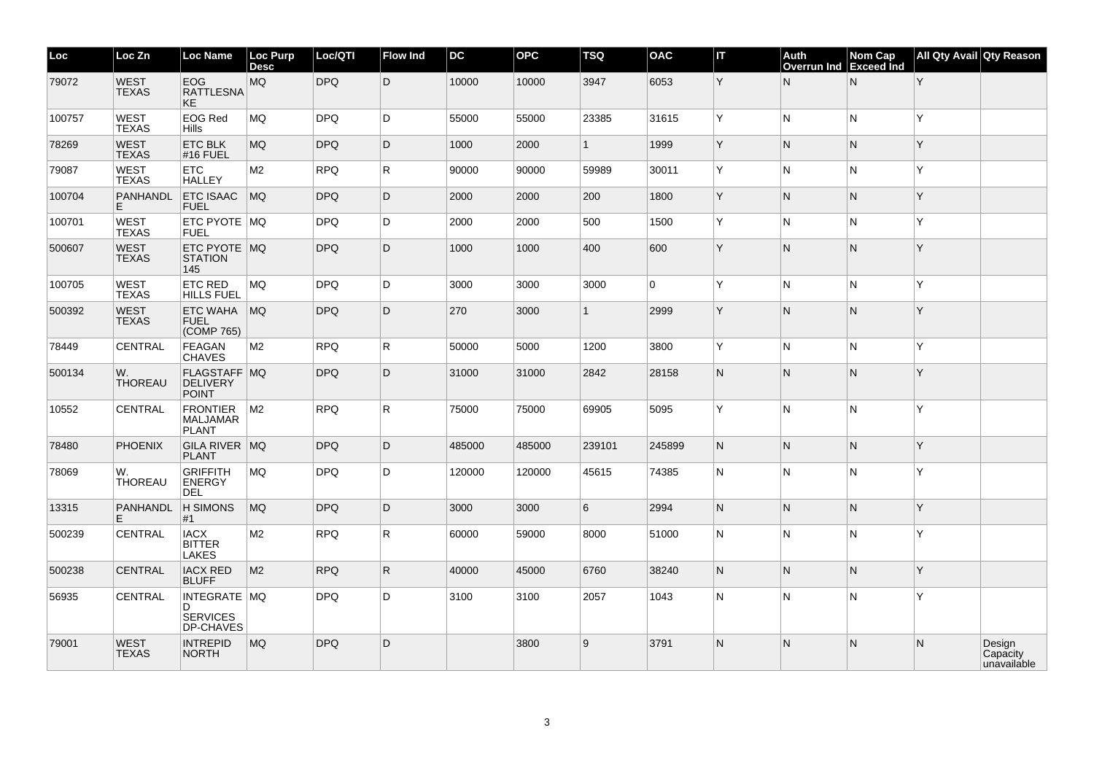| Loc    | Loc Zn                      | <b>Loc Name</b>                                      | Loc Purp<br><b>Desc</b> | Loc/QTI    | <b>Flow Ind</b> | <b>DC</b> | <b>OPC</b> | <b>TSQ</b>   | <b>OAC</b>  | İΠ | Auth<br><b>Overrun Ind</b> | Nom Cap<br>Exceed Ind | All Qty Avail Qty Reason |                                   |
|--------|-----------------------------|------------------------------------------------------|-------------------------|------------|-----------------|-----------|------------|--------------|-------------|----|----------------------------|-----------------------|--------------------------|-----------------------------------|
| 79072  | <b>WEST</b><br><b>TEXAS</b> | <b>EOG</b><br><b>RATTLESNA</b><br><b>KE</b>          | MQ                      | <b>DPQ</b> | D               | 10000     | 10000      | 3947         | 6053        | Y  | $\mathsf{N}$               | N                     | Y                        |                                   |
| 100757 | <b>WEST</b><br>TEXAS        | <b>EOG Red</b><br>Hills                              | <b>MQ</b>               | <b>DPQ</b> | D.              | 55000     | 55000      | 23385        | 31615       | Y  | N                          | lN.                   | İΥ                       |                                   |
| 78269  | <b>WEST</b><br><b>TEXAS</b> | <b>ETC BLK</b><br>#16 FUEL                           | MQ                      | <b>DPQ</b> | D               | 1000      | 2000       | $\mathbf{1}$ | 1999        | Y  | N                          | IN.                   | ΙY                       |                                   |
| 79087  | <b>WEST</b><br><b>TEXAS</b> | <b>ETC</b><br><b>HALLEY</b>                          | M <sub>2</sub>          | <b>RPQ</b> | $\mathsf{R}$    | 90000     | 90000      | 59989        | 30011       | Y  | N                          | lN.                   | ΙY.                      |                                   |
| 100704 | PANHANDL<br>E.              | <b>ETC ISAAC</b><br><b>FUEL</b>                      | MQ                      | <b>DPQ</b> | D               | 2000      | 2000       | 200          | 1800        | Y  | N                          | IN.                   | ΙY.                      |                                   |
| 100701 | <b>WEST</b><br><b>TEXAS</b> | ETC PYOTE MQ<br><b>FUEL</b>                          |                         | <b>DPQ</b> | D               | 2000      | 2000       | 500          | 1500        | Y  | ${\sf N}$                  | N                     | ΙY                       |                                   |
| 500607 | <b>WEST</b><br><b>TEXAS</b> | ETC PYOTE MQ<br><b>STATION</b><br>145                |                         | <b>DPQ</b> | D               | 1000      | 1000       | 400          | 600         | Y  | N                          | IN.                   | ΙY.                      |                                   |
| 100705 | WEST<br><b>TEXAS</b>        | <b>ETC RED</b><br>HILLS FUEL                         | MQ                      | <b>DPQ</b> | D               | 3000      | 3000       | 3000         | $\mathbf 0$ | Y  | N                          | lN.                   | Y                        |                                   |
| 500392 | <b>WEST</b><br><b>TEXAS</b> | <b>ETC WAHA</b><br><b>FUEL</b><br>(COMP 765)         | MQ.                     | <b>DPQ</b> | D               | 270       | 3000       | $\mathbf{1}$ | 2999        | Y  | N                          | IN.                   | ΙY                       |                                   |
| 78449  | CENTRAL                     | <b>FEAGAN</b><br><b>CHAVES</b>                       | M <sub>2</sub>          | <b>RPQ</b> | $\mathsf{R}$    | 50000     | 5000       | 1200         | 3800        | Y  | $\overline{\mathsf{N}}$    | N                     | Y                        |                                   |
| 500134 | W.<br>THOREAU               | FLAGSTAFF MQ<br><b>DELIVERY</b><br><b>POINT</b>      |                         | <b>DPQ</b> | D               | 31000     | 31000      | 2842         | 28158       | N. | N                          | IN.                   | ΙY.                      |                                   |
| 10552  | <b>CENTRAL</b>              | <b>FRONTIER</b><br><b>MALJAMAR</b><br><b>PLANT</b>   | M <sub>2</sub>          | <b>RPQ</b> | R.              | 75000     | 75000      | 69905        | 5095        | Y  | N                          | IN.                   | ΙY.                      |                                   |
| 78480  | <b>PHOENIX</b>              | GILA RIVER MQ<br><b>PLANT</b>                        |                         | <b>DPQ</b> | D               | 485000    | 485000     | 239101       | 245899      | N. | N                          | IN.                   | ΙY.                      |                                   |
| 78069  | W.<br>THOREAU               | <b>GRIFFITH</b><br><b>ENERGY</b><br>DEL              | MQ                      | <b>DPQ</b> | D.              | 120000    | 120000     | 45615        | 74385       | N  | N                          | IN.                   | ΙY.                      |                                   |
| 13315  | PANHANDL<br>Е               | H SIMONS<br>#1                                       | <b>MQ</b>               | <b>DPQ</b> | D               | 3000      | 3000       | 6            | 2994        | N. | N                          | IN.                   | ΙY.                      |                                   |
| 500239 | <b>CENTRAL</b>              | <b>IACX</b><br><b>BITTER</b><br><b>LAKES</b>         | M <sub>2</sub>          | <b>RPQ</b> | R.              | 60000     | 59000      | 8000         | 51000       | N  | N                          | IN.                   | Y                        |                                   |
| 500238 | <b>CENTRAL</b>              | <b>IACX RED</b><br><b>BLUFF</b>                      | M <sub>2</sub>          | <b>RPQ</b> | $\mathsf{R}$    | 40000     | 45000      | 6760         | 38240       | N. | N                          | IN.                   | ΙY.                      |                                   |
| 56935  | <b>CENTRAL</b>              | INTEGRATE   MQ<br>D.<br><b>SERVICES</b><br>DP-CHAVES |                         | <b>DPQ</b> | D               | 3100      | 3100       | 2057         | 1043        | N  | N                          | lN.                   | Y                        |                                   |
| 79001  | <b>WEST</b><br><b>TEXAS</b> | <b>INTREPID</b><br><b>NORTH</b>                      | MQ                      | <b>DPQ</b> | D               |           | 3800       | 9            | 3791        | N. | N                          | N                     | $\overline{N}$           | Design<br>Capacity<br>unavailable |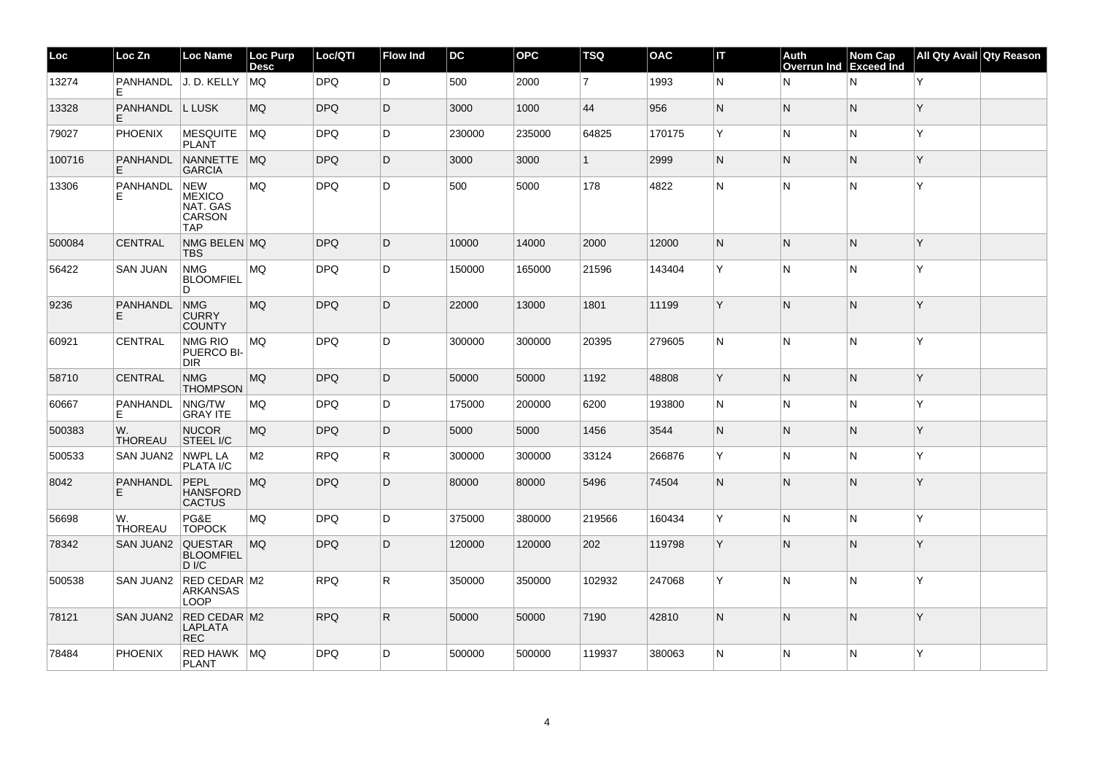| Loc    | Loc Zn                | <b>Loc Name</b>                                                        | Loc Purp<br><b>Desc</b> | Loc/QTI    | <b>Flow Ind</b> | <b>DC</b> | <b>OPC</b> | <b>TSQ</b>     | <b>OAC</b> | IТ | Auth<br><b>Overrun Ind</b> | Nom Cap<br>Exceed Ind | All Qty Avail Qty Reason |  |
|--------|-----------------------|------------------------------------------------------------------------|-------------------------|------------|-----------------|-----------|------------|----------------|------------|----|----------------------------|-----------------------|--------------------------|--|
| 13274  | Е                     | PANHANDL J. D. KELLY                                                   | MQ.                     | <b>DPQ</b> | D               | 500       | 2000       | $\overline{7}$ | 1993       | N  | N                          | IN.                   | ΙY.                      |  |
| 13328  | PANHANDL<br>E.        | L LUSK                                                                 | <b>MQ</b>               | <b>DPQ</b> | D               | 3000      | 1000       | 44             | 956        | N  | IN.                        | N                     | ΙY.                      |  |
| 79027  | <b>PHOENIX</b>        | MESQUITE<br>PLANT                                                      | MQ                      | <b>DPQ</b> | D               | 230000    | 235000     | 64825          | 170175     | Y  | N                          | N                     | Y                        |  |
| 100716 | PANHANDL<br>E         | NANNETTE<br><b>GARCIA</b>                                              | MO                      | <b>DPQ</b> | D               | 3000      | 3000       | $\mathbf{1}$   | 2999       | N  | IN.                        | N                     | ΙY.                      |  |
| 13306  | PANHANDL<br>Е         | <b>NEW</b><br><b>MEXICO</b><br>NAT. GAS<br><b>CARSON</b><br><b>TAP</b> | <b>MQ</b>               | <b>DPQ</b> | D               | 500       | 5000       | 178            | 4822       | N  | N                          | N                     | Y                        |  |
| 500084 | <b>CENTRAL</b>        | NMG BELEN MQ<br><b>TBS</b>                                             |                         | <b>DPQ</b> | D               | 10000     | 14000      | 2000           | 12000      | N  | IN.                        | IN.                   | ΙY.                      |  |
| 56422  | <b>SAN JUAN</b>       | <b>NMG</b><br><b>BLOOMFIEL</b><br>D.                                   | MQ                      | <b>DPQ</b> | D               | 150000    | 165000     | 21596          | 143404     | Y  | N                          | IN.                   | Y                        |  |
| 9236   | PANHANDL<br>E         | <b>NMG</b><br><b>CURRY</b><br><b>COUNTY</b>                            | <b>MQ</b>               | <b>DPQ</b> | D               | 22000     | 13000      | 1801           | 11199      | Y  | IN.                        | N                     | ΙY.                      |  |
| 60921  | <b>CENTRAL</b>        | <b>NMG RIO</b><br>PUERCO BI-<br><b>DIR</b>                             | <b>MQ</b>               | <b>DPQ</b> | D               | 300000    | 300000     | 20395          | 279605     | N  | N                          | IN.                   | ΙY.                      |  |
| 58710  | <b>CENTRAL</b>        | <b>NMG</b><br><b>THOMPSON</b>                                          | MQ                      | <b>DPQ</b> | D               | 50000     | 50000      | 1192           | 48808      | Y  | IN.                        | N                     | ΙY.                      |  |
| 60667  | PANHANDL<br>E         | NNG/TW<br><b>GRAY ITE</b>                                              | <b>MQ</b>               | <b>DPQ</b> | D               | 175000    | 200000     | 6200           | 193800     | N  | N                          | N                     | ΙY.                      |  |
| 500383 | W.<br><b>THOREAU</b>  | <b>NUCOR</b><br>STEEL I/C                                              | MQ                      | <b>DPQ</b> | D               | 5000      | 5000       | 1456           | 3544       | N  | IN.                        | N                     | ΙY.                      |  |
| 500533 | SAN JUAN2             | <b>NWPL LA</b><br>PLATA I/C                                            | M <sub>2</sub>          | <b>RPQ</b> | R.              | 300000    | 300000     | 33124          | 266876     | Y  | ΙN.                        | N                     | İΥ                       |  |
| 8042   | <b>PANHANDL</b><br>E. | PEPL<br><b>HANSFORD</b><br><b>CACTUS</b>                               | <b>MQ</b>               | <b>DPQ</b> | D               | 80000     | 80000      | 5496           | 74504      | N  | N                          | N                     | ΙY.                      |  |
| 56698  | W.<br><b>THOREAU</b>  | PG&E<br><b>TOPOCK</b>                                                  | <b>MQ</b>               | <b>DPQ</b> | D               | 375000    | 380000     | 219566         | 160434     | Y  | lN.                        | IN.                   | Y                        |  |
| 78342  | SAN JUAN2             | <b>QUESTAR</b><br><b>BLOOMFIEL</b><br>$D$ I/C                          | MQ                      | <b>DPQ</b> | D               | 120000    | 120000     | 202            | 119798     | Y  | N                          | N                     | ΙY.                      |  |
| 500538 | SAN JUAN2             | RED CEDAR M2<br><b>ARKANSAS</b><br><b>LOOP</b>                         |                         | <b>RPQ</b> | R.              | 350000    | 350000     | 102932         | 247068     | Y  | N                          | IN.                   | Y                        |  |
| 78121  | SAN JUAN2             | RED CEDAR M2<br><b>LAPLATA</b><br><b>REC</b>                           |                         | <b>RPQ</b> | R.              | 50000     | 50000      | 7190           | 42810      | N  | IN.                        | N                     | ΙY.                      |  |
| 78484  | <b>PHOENIX</b>        | RED HAWK   MQ<br><b>PLANT</b>                                          |                         | <b>DPQ</b> | D               | 500000    | 500000     | 119937         | 380063     | N  | N                          | IN.                   | ΙY                       |  |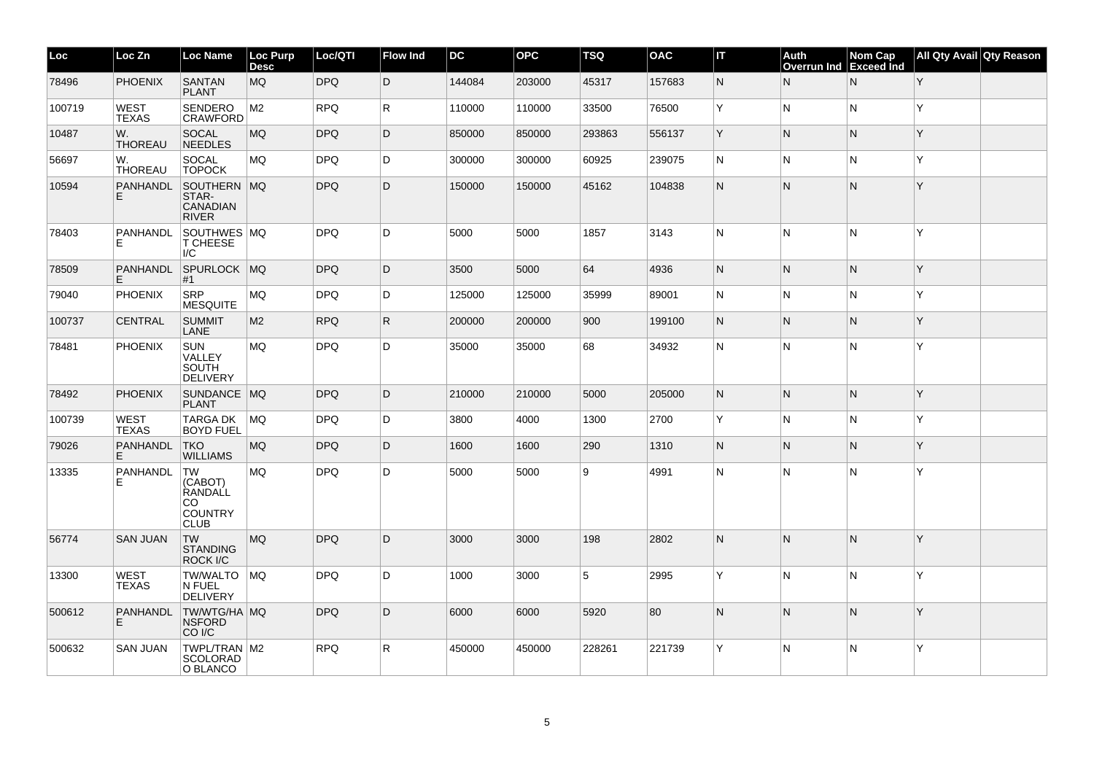| Loc    | Loc Zn                      | <b>Loc Name</b>                                                         | Loc Purp<br><b>Desc</b> | Loc/QTI    | <b>Flow Ind</b> | DC     | <b>OPC</b> | <b>TSQ</b> | <b>OAC</b> | IΤ  | Auth<br><b>Overrun Ind</b> | Nom Cap<br><b>Exceed</b> Ind | All Qty Avail Qty Reason |  |
|--------|-----------------------------|-------------------------------------------------------------------------|-------------------------|------------|-----------------|--------|------------|------------|------------|-----|----------------------------|------------------------------|--------------------------|--|
| 78496  | <b>PHOENIX</b>              | <b>SANTAN</b><br><b>PLANT</b>                                           | MQ                      | DPQ        | D               | 144084 | 203000     | 45317      | 157683     | N   | N                          | N                            | Y                        |  |
| 100719 | <b>WEST</b><br><b>TEXAS</b> | <b>SENDERO</b><br>CRAWFORD                                              | M2                      | <b>RPQ</b> | R.              | 110000 | 110000     | 33500      | 76500      | ΙY. | N                          | N                            | Y                        |  |
| 10487  | W.<br>THOREAU               | <b>SOCAL</b><br><b>NEEDLES</b>                                          | MQ                      | <b>DPQ</b> | D               | 850000 | 850000     | 293863     | 556137     | ΙY. | N                          | N                            | Y                        |  |
| 56697  | W.<br><b>THOREAU</b>        | SOCAL<br><b>TOPOCK</b>                                                  | <b>MQ</b>               | <b>DPQ</b> | D               | 300000 | 300000     | 60925      | 239075     | N   | N                          | N                            | Y                        |  |
| 10594  | <b>PANHANDL</b><br>E.       | SOUTHERN MQ<br>STAR-<br><b>CANADIAN</b><br><b>RIVER</b>                 |                         | DPQ        | D               | 150000 | 150000     | 45162      | 104838     | N.  | N                          | N                            | Y                        |  |
| 78403  | <b>PANHANDL</b><br>F.       | SOUTHWES MQ<br><b>T CHEESE</b><br>$\overline{C}$                        |                         | <b>DPQ</b> | D               | 5000   | 5000       | 1857       | 3143       | IN. | N                          | N                            | Y                        |  |
| 78509  | <b>PANHANDL</b><br>E.       | SPURLOCK MQ<br>#1                                                       |                         | <b>DPQ</b> | D               | 3500   | 5000       | 64         | 4936       | N   | N                          | N                            | Y                        |  |
| 79040  | <b>PHOENIX</b>              | <b>SRP</b><br><b>MESQUITE</b>                                           | <b>MQ</b>               | <b>DPQ</b> | D               | 125000 | 125000     | 35999      | 89001      | IN. | N                          | N                            | Y                        |  |
| 100737 | <b>CENTRAL</b>              | <b>SUMMIT</b><br>LANE                                                   | M2                      | <b>RPQ</b> | $\mathsf{R}$    | 200000 | 200000     | 900        | 199100     | N   | N                          | N                            | Y                        |  |
| 78481  | <b>PHOENIX</b>              | SUN<br>VALLEY<br><b>SOUTH</b><br><b>DELIVERY</b>                        | MQ                      | <b>DPQ</b> | D               | 35000  | 35000      | 68         | 34932      | N   | N                          | N                            | Y                        |  |
| 78492  | <b>PHOENIX</b>              | SUNDANCE MQ<br><b>PLANT</b>                                             |                         | <b>DPQ</b> | D               | 210000 | 210000     | 5000       | 205000     | IN. | N                          | N                            | Y                        |  |
| 100739 | <b>WEST</b><br><b>TEXAS</b> | <b>TARGA DK</b><br><b>BOYD FUEL</b>                                     | MQ                      | <b>DPQ</b> | D               | 3800   | 4000       | 1300       | 2700       | ΙY. | N.                         | N.                           | Y                        |  |
| 79026  | PANHANDL<br>E.              | <b>TKO</b><br><b>WILLIAMS</b>                                           | MQ                      | <b>DPQ</b> | D               | 1600   | 1600       | 290        | 1310       | N   | $\overline{\mathsf{N}}$    | N.                           | Y                        |  |
| 13335  | PANHANDL<br>Е               | <b>TW</b><br>(CABOT)<br>RANDALL<br>CO.<br><b>COUNTRY</b><br><b>CLUB</b> | MQ                      | <b>DPQ</b> | D               | 5000   | 5000       | ا 9        | 4991       | N   | $\overline{\mathsf{N}}$    | N                            | Y                        |  |
| 56774  | <b>SAN JUAN</b>             | <b>TW</b><br><b>STANDING</b><br>ROCK I/C                                | MQ                      | <b>DPQ</b> | D               | 3000   | 3000       | 198        | 2802       | N   | N                          | N                            | Y                        |  |
| 13300  | <b>WEST</b><br><b>TEXAS</b> | TW/WALTO MQ<br>N FUEL<br>DELIVERY                                       |                         | <b>DPQ</b> | D               | 1000   | 3000       | 5          | 2995       | ΙY. | N                          | N                            | Y                        |  |
| 500612 | PANHANDL<br>E               | TW/WTG/HA MQ<br><b>NSFORD</b><br>CO <sub>I/C</sub>                      |                         | <b>DPQ</b> | D               | 6000   | 6000       | 5920       | 80         | N.  | N                          | N                            | Y                        |  |
| 500632 | <b>SAN JUAN</b>             | TWPL/TRAN   M2<br><b>SCOLORAD</b><br>O BLANCO                           |                         | <b>RPQ</b> | R               | 450000 | 450000     | 228261     | 221739     | Y   | $\overline{\mathsf{N}}$    | N                            | Y                        |  |